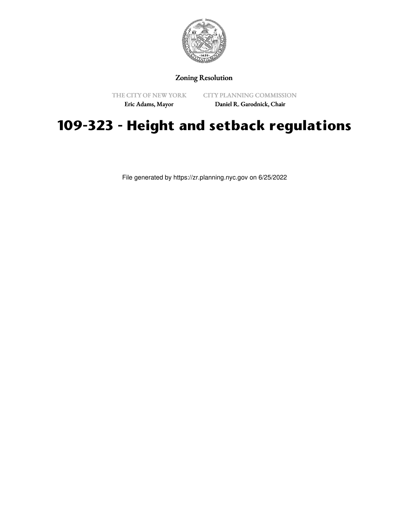

## Zoning Resolution

THE CITY OF NEW YORK

CITY PLANNING COMMISSION

Eric Adams, Mayor

Daniel R. Garodnick, Chair

## **109-323 - Height and setback regulations**

File generated by https://zr.planning.nyc.gov on 6/25/2022